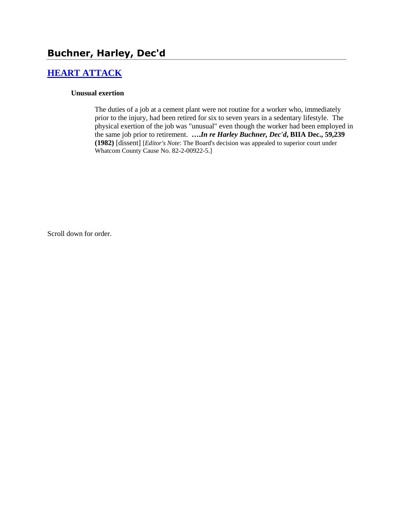# **[HEART ATTACK](http://www.biia.wa.gov/SDSubjectIndex.html#HEART_ATTACK)**

### **Unusual exertion**

The duties of a job at a cement plant were not routine for a worker who, immediately prior to the injury, had been retired for six to seven years in a sedentary lifestyle. The physical exertion of the job was "unusual" even though the worker had been employed in the same job prior to retirement. **….***In re Harley Buchner, Dec'd***, BIIA Dec., 59,239 (1982)** [dissent] [*Editor's Note*: The Board's decision was appealed to superior court under Whatcom County Cause No. 82-2-00922-5.]

Scroll down for order.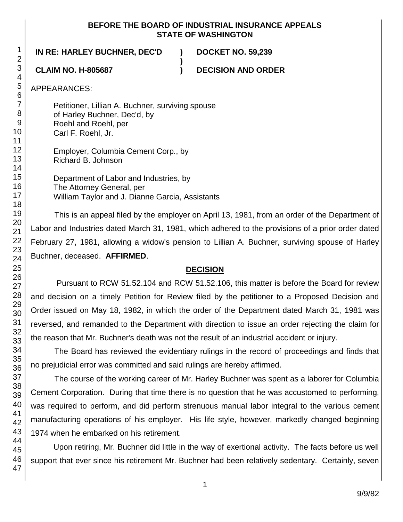### **BEFORE THE BOARD OF INDUSTRIAL INSURANCE APPEALS STATE OF WASHINGTON**

**)**

## **IN RE: HARLEY BUCHNER, DEC'D ) DOCKET NO. 59,239**

**CLAIM NO. H-805687 ) DECISION AND ORDER**

APPEARANCES:

Petitioner, Lillian A. Buchner, surviving spouse of Harley Buchner, Dec'd, by Roehl and Roehl, per Carl F. Roehl, Jr.

Employer, Columbia Cement Corp., by Richard B. Johnson

Department of Labor and Industries, by The Attorney General, per William Taylor and J. Dianne Garcia, Assistants

This is an appeal filed by the employer on April 13, 1981, from an order of the Department of Labor and Industries dated March 31, 1981, which adhered to the provisions of a prior order dated February 27, 1981, allowing a widow's pension to Lillian A. Buchner, surviving spouse of Harley Buchner, deceased. **AFFIRMED**.

# **DECISION**

Pursuant to RCW 51.52.104 and RCW 51.52.106, this matter is before the Board for review and decision on a timely Petition for Review filed by the petitioner to a Proposed Decision and Order issued on May 18, 1982, in which the order of the Department dated March 31, 1981 was reversed, and remanded to the Department with direction to issue an order rejecting the claim for the reason that Mr. Buchner's death was not the result of an industrial accident or injury.

The Board has reviewed the evidentiary rulings in the record of proceedings and finds that no prejudicial error was committed and said rulings are hereby affirmed.

The course of the working career of Mr. Harley Buchner was spent as a laborer for Columbia Cement Corporation. During that time there is no question that he was accustomed to performing, was required to perform, and did perform strenuous manual labor integral to the various cement manufacturing operations of his employer. His life style, however, markedly changed beginning 1974 when he embarked on his retirement.

Upon retiring, Mr. Buchner did little in the way of exertional activity. The facts before us well support that ever since his retirement Mr. Buchner had been relatively sedentary. Certainly, seven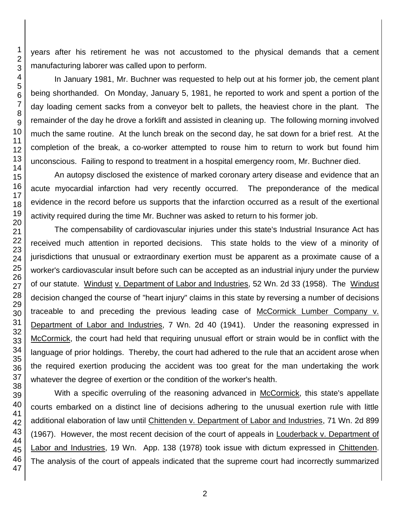years after his retirement he was not accustomed to the physical demands that a cement manufacturing laborer was called upon to perform.

In January 1981, Mr. Buchner was requested to help out at his former job, the cement plant being shorthanded. On Monday, January 5, 1981, he reported to work and spent a portion of the day loading cement sacks from a conveyor belt to pallets, the heaviest chore in the plant. The remainder of the day he drove a forklift and assisted in cleaning up. The following morning involved much the same routine. At the lunch break on the second day, he sat down for a brief rest. At the completion of the break, a co-worker attempted to rouse him to return to work but found him unconscious. Failing to respond to treatment in a hospital emergency room, Mr. Buchner died.

An autopsy disclosed the existence of marked coronary artery disease and evidence that an acute myocardial infarction had very recently occurred. The preponderance of the medical evidence in the record before us supports that the infarction occurred as a result of the exertional activity required during the time Mr. Buchner was asked to return to his former job.

The compensability of cardiovascular injuries under this state's Industrial Insurance Act has received much attention in reported decisions. This state holds to the view of a minority of jurisdictions that unusual or extraordinary exertion must be apparent as a proximate cause of a worker's cardiovascular insult before such can be accepted as an industrial injury under the purview of our statute. Windust v. Department of Labor and Industries, 52 Wn. 2d 33 (1958). The Windust decision changed the course of "heart injury" claims in this state by reversing a number of decisions traceable to and preceding the previous leading case of McCormick Lumber Company v. Department of Labor and Industries, 7 Wn. 2d 40 (1941). Under the reasoning expressed in McCormick, the court had held that requiring unusual effort or strain would be in conflict with the language of prior holdings. Thereby, the court had adhered to the rule that an accident arose when the required exertion producing the accident was too great for the man undertaking the work whatever the degree of exertion or the condition of the worker's health.

With a specific overruling of the reasoning advanced in McCormick, this state's appellate courts embarked on a distinct line of decisions adhering to the unusual exertion rule with little additional elaboration of law until Chittenden v. Department of Labor and Industries, 71 Wn. 2d 899 (1967). However, the most recent decision of the court of appeals in Louderback v. Department of Labor and Industries, 19 Wn. App. 138 (1978) took issue with dictum expressed in Chittenden. The analysis of the court of appeals indicated that the supreme court had incorrectly summarized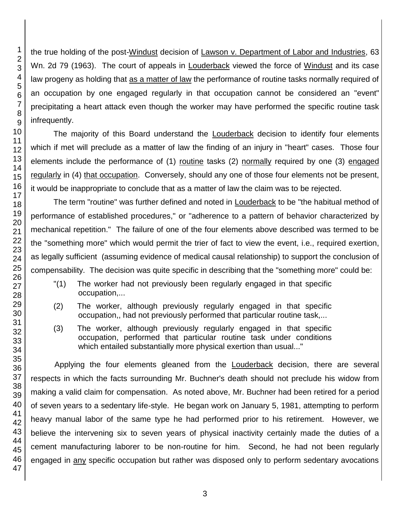the true holding of the post-Windust decision of Lawson v. Department of Labor and Industries, 63 Wn. 2d 79 (1963). The court of appeals in Louderback viewed the force of Windust and its case law progeny as holding that as a matter of law the performance of routine tasks normally required of an occupation by one engaged regularly in that occupation cannot be considered an "event" precipitating a heart attack even though the worker may have performed the specific routine task infrequently. The majority of this Board understand the Louderback decision to identify four elements

which if met will preclude as a matter of law the finding of an injury in "heart" cases. Those four elements include the performance of (1) routine tasks (2) normally required by one (3) engaged regularly in (4) that occupation. Conversely, should any one of those four elements not be present, it would be inappropriate to conclude that as a matter of law the claim was to be rejected.

The term "routine" was further defined and noted in Louderback to be "the habitual method of performance of established procedures," or "adherence to a pattern of behavior characterized by mechanical repetition." The failure of one of the four elements above described was termed to be the "something more" which would permit the trier of fact to view the event, i.e., required exertion, as legally sufficient (assuming evidence of medical causal relationship) to support the conclusion of compensability. The decision was quite specific in describing that the "something more" could be:

- "(1) The worker had not previously been regularly engaged in that specific occupation,...
- (2) The worker, although previously regularly engaged in that specific occupation,, had not previously performed that particular routine task,...
- (3) The worker, although previously regularly engaged in that specific occupation, performed that particular routine task under conditions which entailed substantially more physical exertion than usual..."

Applying the four elements gleaned from the Louderback decision, there are several respects in which the facts surrounding Mr. Buchner's death should not preclude his widow from making a valid claim for compensation. As noted above, Mr. Buchner had been retired for a period of seven years to a sedentary life-style. He began work on January 5, 1981, attempting to perform heavy manual labor of the same type he had performed prior to his retirement. However, we believe the intervening six to seven years of physical inactivity certainly made the duties of a cement manufacturing laborer to be non-routine for him. Second, he had not been regularly engaged in any specific occupation but rather was disposed only to perform sedentary avocations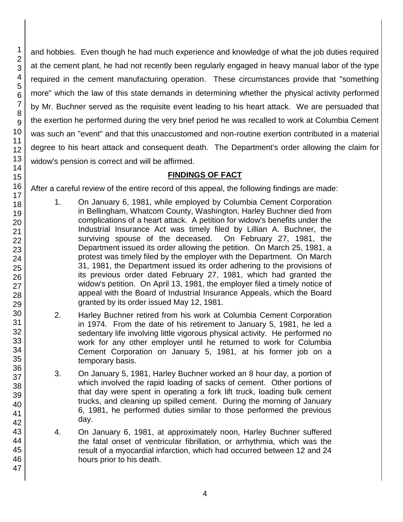and hobbies. Even though he had much experience and knowledge of what the job duties required at the cement plant, he had not recently been regularly engaged in heavy manual labor of the type required in the cement manufacturing operation. These circumstances provide that "something more" which the law of this state demands in determining whether the physical activity performed by Mr. Buchner served as the requisite event leading to his heart attack. We are persuaded that the exertion he performed during the very brief period he was recalled to work at Columbia Cement was such an "event" and that this unaccustomed and non-routine exertion contributed in a material degree to his heart attack and consequent death. The Department's order allowing the claim for widow's pension is correct and will be affirmed.

# **FINDINGS OF FACT**

After a careful review of the entire record of this appeal, the following findings are made:

- 1. On January 6, 1981, while employed by Columbia Cement Corporation in Bellingham, Whatcom County, Washington, Harley Buchner died from complications of a heart attack. A petition for widow's benefits under the Industrial Insurance Act was timely filed by Lillian A. Buchner, the surviving spouse of the deceased. On February 27, 1981, the Department issued its order allowing the petition. On March 25, 1981, a protest was timely filed by the employer with the Department. On March 31, 1981, the Department issued its order adhering to the provisions of its previous order dated February 27, 1981, which had granted the widow's petition. On April 13, 1981, the employer filed a timely notice of appeal with the Board of Industrial Insurance Appeals, which the Board granted by its order issued May 12, 1981.
- 2. Harley Buchner retired from his work at Columbia Cement Corporation in 1974. From the date of his retirement to January 5, 1981, he led a sedentary life involving little vigorous physical activity. He performed no work for any other employer until he returned to work for Columbia Cement Corporation on January 5, 1981, at his former job on a temporary basis.
- 3. On January 5, 1981, Harley Buchner worked an 8 hour day, a portion of which involved the rapid loading of sacks of cement. Other portions of that day were spent in operating a fork lift truck, loading bulk cement trucks, and cleaning up spilled cement. During the morning of January 6, 1981, he performed duties similar to those performed the previous day.
- 4. On January 6, 1981, at approximately noon, Harley Buchner suffered the fatal onset of ventricular fibrillation, or arrhythmia, which was the result of a myocardial infarction, which had occurred between 12 and 24 hours prior to his death.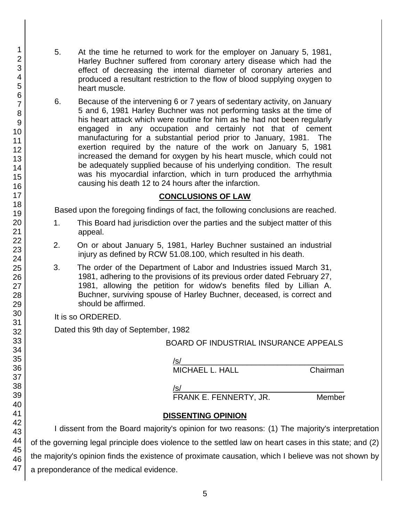- 5. At the time he returned to work for the employer on January 5, 1981, Harley Buchner suffered from coronary artery disease which had the effect of decreasing the internal diameter of coronary arteries and produced a resultant restriction to the flow of blood supplying oxygen to heart muscle.
- 6. Because of the intervening 6 or 7 years of sedentary activity, on January 5 and 6, 1981 Harley Buchner was not performing tasks at the time of his heart attack which were routine for him as he had not been regularly engaged in any occupation and certainly not that of cement manufacturing for a substantial period prior to January, 1981. The exertion required by the nature of the work on January 5, 1981 increased the demand for oxygen by his heart muscle, which could not be adequately supplied because of his underlying condition. The result was his myocardial infarction, which in turn produced the arrhythmia causing his death 12 to 24 hours after the infarction.

### **CONCLUSIONS OF LAW**

Based upon the foregoing findings of fact, the following conclusions are reached.

- 1. This Board had jurisdiction over the parties and the subject matter of this appeal.
- 2. On or about January 5, 1981, Harley Buchner sustained an industrial injury as defined by RCW 51.08.100, which resulted in his death.
- 3. The order of the Department of Labor and Industries issued March 31, 1981, adhering to the provisions of its previous order dated February 27, 1981, allowing the petition for widow's benefits filed by Lillian A. Buchner, surviving spouse of Harley Buchner, deceased, is correct and should be affirmed.

It is so ORDERED.

Dated this 9th day of September, 1982

BOARD OF INDUSTRIAL INSURANCE APPEALS

/s/\_\_\_\_\_\_\_\_\_\_\_\_\_\_\_\_\_\_\_\_\_\_\_\_\_\_\_\_\_\_\_\_\_\_\_\_\_ MICHAEL L. HALL Chairman

/s/\_\_\_\_\_\_\_\_\_\_\_\_\_\_\_\_\_\_\_\_\_\_\_\_\_\_\_\_\_\_\_\_\_\_\_\_\_

FRANK E. FENNERTY, JR. Member

### **DISSENTING OPINION**

I dissent from the Board majority's opinion for two reasons: (1) The majority's interpretation of the governing legal principle does violence to the settled law on heart cases in this state; and (2) the majority's opinion finds the existence of proximate causation, which I believe was not shown by a preponderance of the medical evidence.

1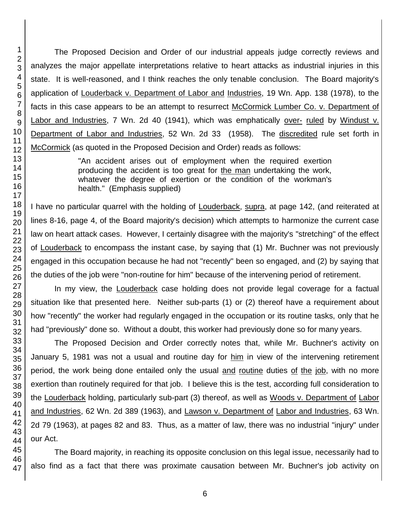The Proposed Decision and Order of our industrial appeals judge correctly reviews and analyzes the major appellate interpretations relative to heart attacks as industrial injuries in this state. It is well-reasoned, and I think reaches the only tenable conclusion. The Board majority's application of Louderback v. Department of Labor and Industries, 19 Wn. App. 138 (1978), to the facts in this case appears to be an attempt to resurrect McCormick Lumber Co. v. Department of Labor and Industries, 7 Wn. 2d 40 (1941), which was emphatically over- ruled by Windust v. Department of Labor and Industries, 52 Wn. 2d 33 (1958). The discredited rule set forth in McCormick (as quoted in the Proposed Decision and Order) reads as follows:

> "An accident arises out of employment when the required exertion producing the accident is too great for the man undertaking the work, whatever the degree of exertion or the condition of the workman's health." (Emphasis supplied)

I have no particular quarrel with the holding of Louderback, supra, at page 142, (and reiterated at lines 8-16, page 4, of the Board majority's decision) which attempts to harmonize the current case law on heart attack cases. However, I certainly disagree with the majority's "stretching" of the effect of Louderback to encompass the instant case, by saying that (1) Mr. Buchner was not previously engaged in this occupation because he had not "recently" been so engaged, and (2) by saying that the duties of the job were "non-routine for him" because of the intervening period of retirement.

In my view, the Louderback case holding does not provide legal coverage for a factual situation like that presented here. Neither sub-parts (1) or (2) thereof have a requirement about how "recently" the worker had regularly engaged in the occupation or its routine tasks, only that he had "previously" done so. Without a doubt, this worker had previously done so for many years.

The Proposed Decision and Order correctly notes that, while Mr. Buchner's activity on January 5, 1981 was not a usual and routine day for him in view of the intervening retirement period, the work being done entailed only the usual and routine duties of the job, with no more exertion than routinely required for that job. I believe this is the test, according full consideration to the Louderback holding, particularly sub-part (3) thereof, as well as Woods v. Department of Labor and Industries, 62 Wn. 2d 389 (1963), and Lawson v. Department of Labor and Industries, 63 Wn. 2d 79 (1963), at pages 82 and 83. Thus, as a matter of law, there was no industrial "injury" under our Act.

The Board majority, in reaching its opposite conclusion on this legal issue, necessarily had to also find as a fact that there was proximate causation between Mr. Buchner's job activity on

1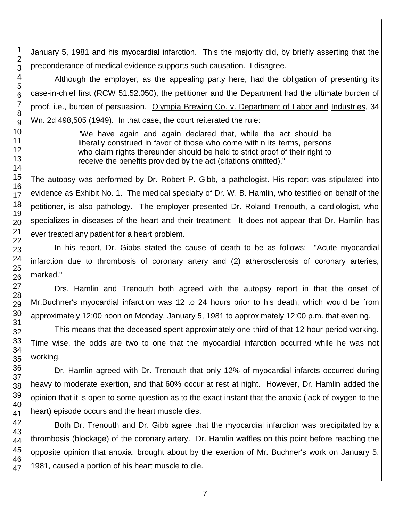January 5, 1981 and his myocardial infarction. This the majority did, by briefly asserting that the preponderance of medical evidence supports such causation. I disagree.

Although the employer, as the appealing party here, had the obligation of presenting its case-in-chief first (RCW 51.52.050), the petitioner and the Department had the ultimate burden of proof, i.e., burden of persuasion. Olympia Brewing Co. v. Department of Labor and Industries, 34 Wn. 2d 498,505 (1949). In that case, the court reiterated the rule:

> "We have again and again declared that, while the act should be liberally construed in favor of those who come within its terms, persons who claim rights thereunder should be held to strict proof of their right to receive the benefits provided by the act (citations omitted)."

The autopsy was performed by Dr. Robert P. Gibb, a pathologist. His report was stipulated into evidence as Exhibit No. 1. The medical specialty of Dr. W. B. Hamlin, who testified on behalf of the petitioner, is also pathology. The employer presented Dr. Roland Trenouth, a cardiologist, who specializes in diseases of the heart and their treatment: It does not appear that Dr. Hamlin has ever treated any patient for a heart problem.

In his report, Dr. Gibbs stated the cause of death to be as follows: "Acute myocardial infarction due to thrombosis of coronary artery and (2) atherosclerosis of coronary arteries, marked."

Drs. Hamlin and Trenouth both agreed with the autopsy report in that the onset of Mr.Buchner's myocardial infarction was 12 to 24 hours prior to his death, which would be from approximately 12:00 noon on Monday, January 5, 1981 to approximately 12:00 p.m. that evening.

This means that the deceased spent approximately one-third of that 12-hour period working. Time wise, the odds are two to one that the myocardial infarction occurred while he was not working.

Dr. Hamlin agreed with Dr. Trenouth that only 12% of myocardial infarcts occurred during heavy to moderate exertion, and that 60% occur at rest at night. However, Dr. Hamlin added the opinion that it is open to some question as to the exact instant that the anoxic (lack of oxygen to the heart) episode occurs and the heart muscle dies.

Both Dr. Trenouth and Dr. Gibb agree that the myocardial infarction was precipitated by a thrombosis (blockage) of the coronary artery. Dr. Hamlin waffles on this point before reaching the opposite opinion that anoxia, brought about by the exertion of Mr. Buchner's work on January 5, 1981, caused a portion of his heart muscle to die.